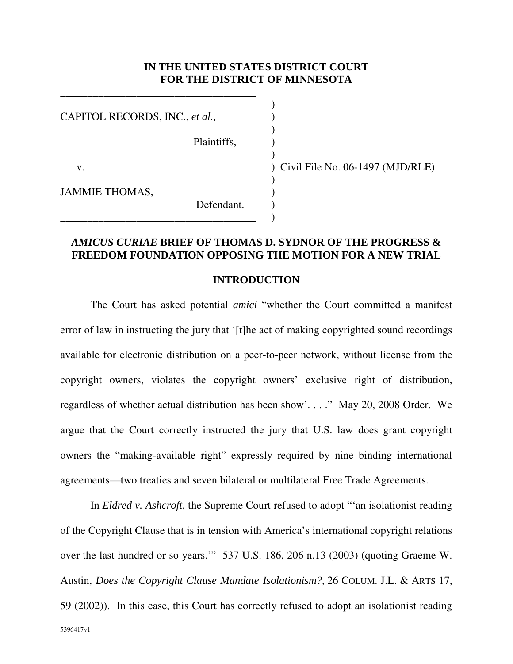#### **IN THE UNITED STATES DISTRICT COURT FOR THE DISTRICT OF MINNESOTA**

)

)

)

)

CAPITOL RECORDS, INC., *et al.*,

\_\_\_\_\_\_\_\_\_\_\_\_\_\_\_\_\_\_\_\_\_\_\_\_\_\_\_\_\_\_\_\_\_\_\_\_

\_\_\_\_\_\_\_\_\_\_\_\_\_\_\_\_\_\_\_\_\_\_\_\_\_\_\_\_\_\_\_\_\_\_\_\_ )

Plaintiffs, )

Defendant.

JAMMIE THOMAS,

v. ) Civil File No. 06-1497 (MJD/RLE)

### *AMICUS CURIAE* **BRIEF OF THOMAS D. SYDNOR OF THE PROGRESS & FREEDOM FOUNDATION OPPOSING THE MOTION FOR A NEW TRIAL**

#### **INTRODUCTION**

The Court has asked potential *amici* "whether the Court committed a manifest error of law in instructing the jury that '[t]he act of making copyrighted sound recordings available for electronic distribution on a peer-to-peer network, without license from the copyright owners, violates the copyright owners' exclusive right of distribution, regardless of whether actual distribution has been show'. . . ." May 20, 2008 Order. We argue that the Court correctly instructed the jury that U.S. law does grant copyright owners the "making-available right" expressly required by nine binding international agreements—two treaties and seven bilateral or multilateral Free Trade Agreements.

5396417v1 In *Eldred v. Ashcroft,* the Supreme Court refused to adopt "'an isolationist reading of the Copyright Clause that is in tension with America's international copyright relations over the last hundred or so years.'" 537 U.S. 186, 206 n.13 (2003) (quoting Graeme W. Austin, *Does the Copyright Clause Mandate Isolationism?*, 26 COLUM. J.L. & ARTS 17, 59 (2002)). In this case, this Court has correctly refused to adopt an isolationist reading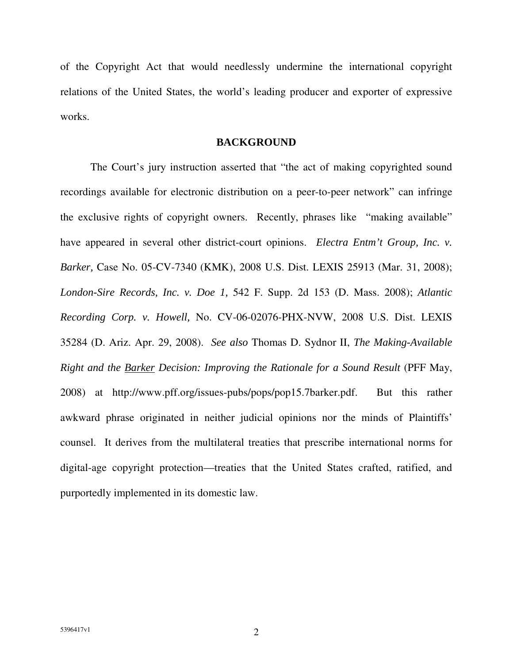of the Copyright Act that would needlessly undermine the international copyright relations of the United States, the world's leading producer and exporter of expressive works.

#### **BACKGROUND**

The Court's jury instruction asserted that "the act of making copyrighted sound recordings available for electronic distribution on a peer-to-peer network" can infringe the exclusive rights of copyright owners. Recently, phrases like "making available" have appeared in several other district-court opinions. *Electra Entm't Group, Inc. v. Barker,* Case No. 05-CV-7340 (KMK), 2008 U.S. Dist. LEXIS 25913 (Mar. 31, 2008); *London-Sire Records, Inc. v. Doe 1,* 542 F. Supp. 2d 153 (D. Mass. 2008); *Atlantic Recording Corp. v. Howell,* No. CV-06-02076-PHX-NVW, 2008 U.S. Dist. LEXIS 35284 (D. Ariz. Apr. 29, 2008). *See also* Thomas D. Sydnor II, *The Making-Available Right and the Barker Decision: Improving the Rationale for a Sound Result* (PFF May, 2008) at http://www.pff.org/issues-pubs/pops/pop15.7barker.pdf. But this rather awkward phrase originated in neither judicial opinions nor the minds of Plaintiffs' counsel. It derives from the multilateral treaties that prescribe international norms for digital-age copyright protection—treaties that the United States crafted, ratified, and purportedly implemented in its domestic law.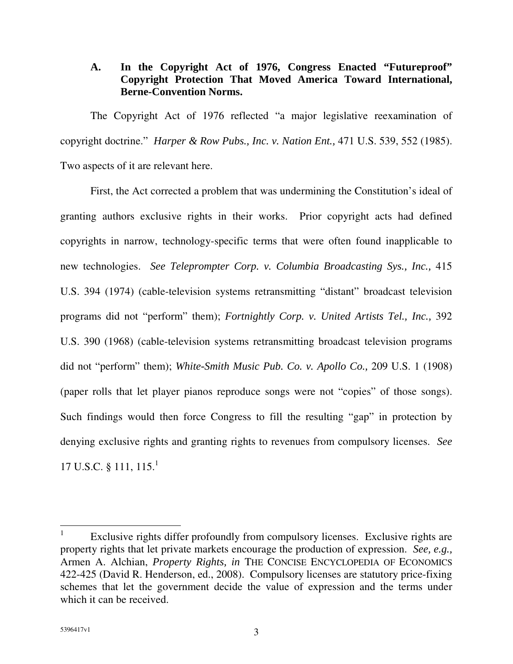## **A. In the Copyright Act of 1976, Congress Enacted "Futureproof" Copyright Protection That Moved America Toward International, Berne-Convention Norms.**

The Copyright Act of 1976 reflected "a major legislative reexamination of copyright doctrine." *Harper & Row Pubs., Inc. v. Nation Ent.,* 471 U.S. 539, 552 (1985). Two aspects of it are relevant here.

First, the Act corrected a problem that was undermining the Constitution's ideal of granting authors exclusive rights in their works. Prior copyright acts had defined copyrights in narrow, technology-specific terms that were often found inapplicable to new technologies. *See Teleprompter Corp. v. Columbia Broadcasting Sys., Inc.,* 415 U.S. 394 (1974) (cable-television systems retransmitting "distant" broadcast television programs did not "perform" them); *Fortnightly Corp. v. United Artists Tel., Inc.,* 392 U.S. 390 (1968) (cable-television systems retransmitting broadcast television programs did not "perform" them); *White-Smith Music Pub. Co. v. Apollo Co.,* 209 U.S. 1 (1908) (paper rolls that let player pianos reproduce songs were not "copies" of those songs). Such findings would then force Congress to fill the resulting "gap" in protection by denying exclusive rights and granting rights to revenues from compulsory licenses. *See* 17 U.S.C. § 111, 115.<sup>1</sup>

<sup>1</sup> Exclusive rights differ profoundly from compulsory licenses. Exclusive rights are property rights that let private markets encourage the production of expression. *See, e.g.,* Armen A. Alchian, *Property Rights, in* THE CONCISE ENCYCLOPEDIA OF ECONOMICS 422-425 (David R. Henderson, ed., 2008). Compulsory licenses are statutory price-fixing schemes that let the government decide the value of expression and the terms under which it can be received.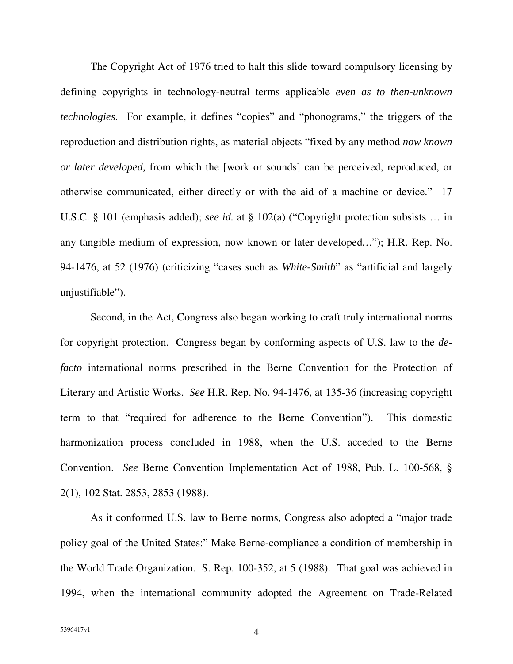The Copyright Act of 1976 tried to halt this slide toward compulsory licensing by defining copyrights in technology-neutral terms applicable *even as to then-unknown technologies*. For example, it defines "copies" and "phonograms," the triggers of the reproduction and distribution rights, as material objects "fixed by any method *now known or later developed,* from which the [work or sounds] can be perceived, reproduced, or otherwise communicated, either directly or with the aid of a machine or device." 17 U.S.C. § 101 (emphasis added); *see id.* at § 102(a) ("Copyright protection subsists … in any tangible medium of expression, now known or later developed*…*"); H.R. Rep. No. 94-1476, at 52 (1976) (criticizing "cases such as *White-Smith*" as "artificial and largely unjustifiable").

Second, in the Act, Congress also began working to craft truly international norms for copyright protection. Congress began by conforming aspects of U.S. law to the *defacto* international norms prescribed in the Berne Convention for the Protection of Literary and Artistic Works. *See* H.R. Rep. No. 94-1476, at 135-36 (increasing copyright term to that "required for adherence to the Berne Convention"). This domestic harmonization process concluded in 1988, when the U.S. acceded to the Berne Convention. *See* Berne Convention Implementation Act of 1988, Pub. L. 100-568, § 2(1), 102 Stat. 2853, 2853 (1988).

As it conformed U.S. law to Berne norms, Congress also adopted a "major trade policy goal of the United States:" Make Berne-compliance a condition of membership in the World Trade Organization. S. Rep. 100-352, at 5 (1988). That goal was achieved in 1994, when the international community adopted the Agreement on Trade-Related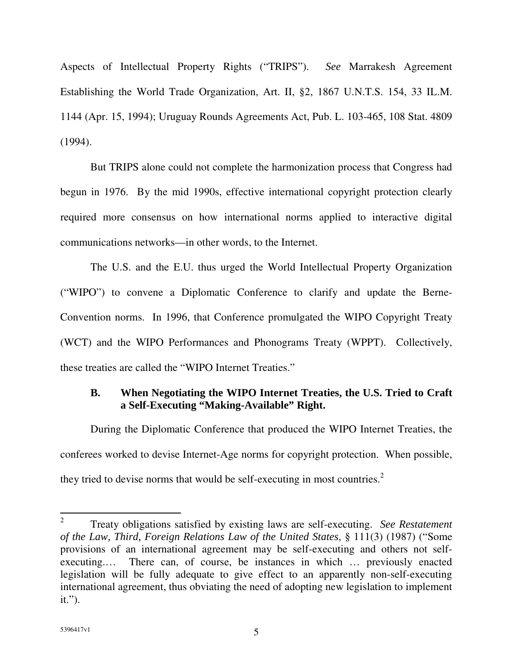Aspects of Intellectual Property Rights ("TRIPS"). *See* Marrakesh Agreement Establishing the World Trade Organization, Art. II, §2, 1867 U.N.T.S. 154, 33 IL.M. 1144 (Apr. 15, 1994); Uruguay Rounds Agreements Act, Pub. L. 103-465, 108 Stat. 4809 (1994).

But TRIPS alone could not complete the harmonization process that Congress had begun in 1976. By the mid 1990s, effective international copyright protection clearly required more consensus on how international norms applied to interactive digital communications networks—in other words, to the Internet.

The U.S. and the E.U. thus urged the World Intellectual Property Organization ("WIPO") to convene a Diplomatic Conference to clarify and update the Berne-Convention norms. In 1996, that Conference promulgated the WIPO Copyright Treaty (WCT) and the WIPO Performances and Phonograms Treaty (WPPT). Collectively, these treaties are called the "WIPO Internet Treaties."

### **B. When Negotiating the WIPO Internet Treaties, the U.S. Tried to Craft a Self-Executing "Making-Available" Right.**

During the Diplomatic Conference that produced the WIPO Internet Treaties, the conferees worked to devise Internet-Age norms for copyright protection. When possible, they tried to devise norms that would be self-executing in most countries.<sup>2</sup>

<sup>2</sup> Treaty obligations satisfied by existing laws are self-executing. *See Restatement of the Law, Third, Foreign Relations Law of the United States*, § 111(3) (1987) ("Some provisions of an international agreement may be self-executing and others not selfexecuting.… There can, of course, be instances in which … previously enacted legislation will be fully adequate to give effect to an apparently non-self-executing international agreement, thus obviating the need of adopting new legislation to implement it.").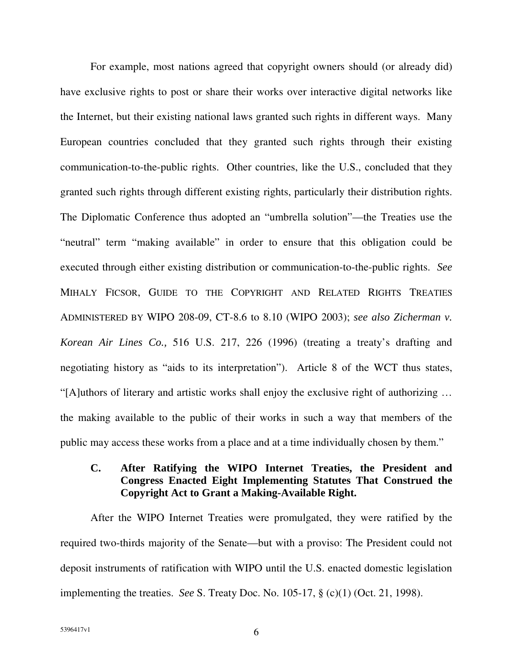For example, most nations agreed that copyright owners should (or already did) have exclusive rights to post or share their works over interactive digital networks like the Internet, but their existing national laws granted such rights in different ways. Many European countries concluded that they granted such rights through their existing communication-to-the-public rights. Other countries, like the U.S., concluded that they granted such rights through different existing rights, particularly their distribution rights. The Diplomatic Conference thus adopted an "umbrella solution"—the Treaties use the "neutral" term "making available" in order to ensure that this obligation could be executed through either existing distribution or communication-to-the-public rights. *See* MIHALY FICSOR, GUIDE TO THE COPYRIGHT AND RELATED RIGHTS TREATIES ADMINISTERED BY WIPO 208-09, CT-8.6 to 8.10 (WIPO 2003); *see also Zicherman v. Korean Air Lines Co.,* 516 U.S. 217, 226 (1996) (treating a treaty's drafting and negotiating history as "aids to its interpretation"). Article 8 of the WCT thus states, "[A]uthors of literary and artistic works shall enjoy the exclusive right of authorizing … the making available to the public of their works in such a way that members of the public may access these works from a place and at a time individually chosen by them."

## **C. After Ratifying the WIPO Internet Treaties, the President and Congress Enacted Eight Implementing Statutes That Construed the Copyright Act to Grant a Making-Available Right.**

After the WIPO Internet Treaties were promulgated, they were ratified by the required two-thirds majority of the Senate—but with a proviso: The President could not deposit instruments of ratification with WIPO until the U.S. enacted domestic legislation implementing the treaties. *See* S. Treaty Doc. No. 105-17, § (c)(1) (Oct. 21, 1998).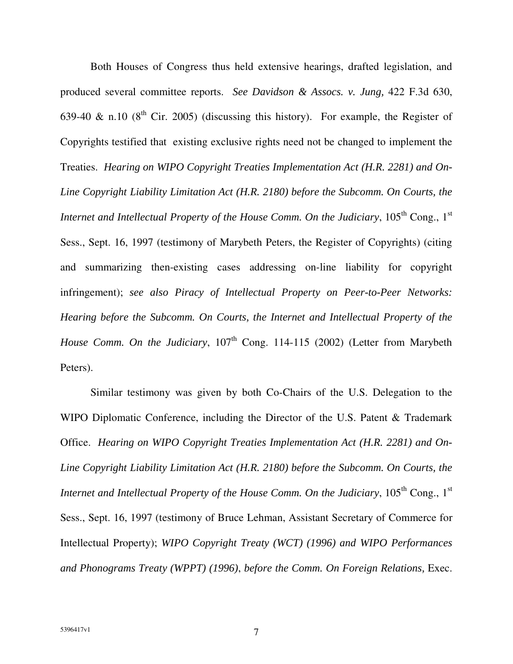Both Houses of Congress thus held extensive hearings, drafted legislation, and produced several committee reports. *See Davidson & Assocs. v. Jung,* 422 F.3d 630, 639-40 & n.10 ( $8<sup>th</sup>$  Cir. 2005) (discussing this history). For example, the Register of Copyrights testified that existing exclusive rights need not be changed to implement the Treaties. *Hearing on WIPO Copyright Treaties Implementation Act (H.R. 2281) and On-Line Copyright Liability Limitation Act (H.R. 2180) before the Subcomm. On Courts, the Internet and Intellectual Property of the House Comm. On the Judiciary*, 105 th Cong., 1 st Sess., Sept. 16, 1997 (testimony of Marybeth Peters, the Register of Copyrights) (citing and summarizing then-existing cases addressing on-line liability for copyright infringement); *see also Piracy of Intellectual Property on Peer-to-Peer Networks: Hearing before the Subcomm. On Courts, the Internet and Intellectual Property of the House Comm. On the Judiciary*, 107 th Cong. 114-115 (2002) (Letter from Marybeth Peters).

Similar testimony was given by both Co-Chairs of the U.S. Delegation to the WIPO Diplomatic Conference, including the Director of the U.S. Patent & Trademark Office. *Hearing on WIPO Copyright Treaties Implementation Act (H.R. 2281) and On-Line Copyright Liability Limitation Act (H.R. 2180) before the Subcomm. On Courts, the Internet and Intellectual Property of the House Comm. On the Judiciary*, 105 th Cong., 1 st Sess., Sept. 16, 1997 (testimony of Bruce Lehman, Assistant Secretary of Commerce for Intellectual Property); *WIPO Copyright Treaty (WCT) (1996) and WIPO Performances and Phonograms Treaty (WPPT) (1996)*, *before the Comm. On Foreign Relations,* Exec.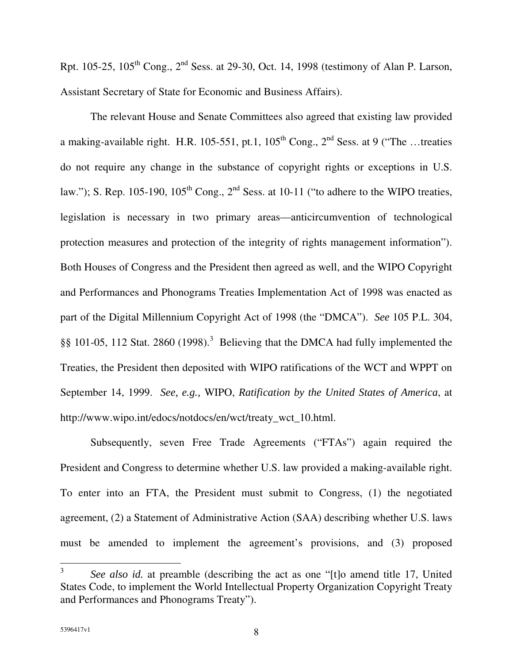Rpt. 105-25, 105<sup>th</sup> Cong., 2<sup>nd</sup> Sess. at 29-30, Oct. 14, 1998 (testimony of Alan P. Larson, Assistant Secretary of State for Economic and Business Affairs).

The relevant House and Senate Committees also agreed that existing law provided a making-available right. H.R. 105-551, pt.1,  $105<sup>th</sup>$  Cong.,  $2<sup>nd</sup>$  Sess. at 9 ("The ...treaties do not require any change in the substance of copyright rights or exceptions in U.S. law."); S. Rep. 105-190, 105<sup>th</sup> Cong., 2<sup>nd</sup> Sess. at 10-11 ("to adhere to the WIPO treaties, legislation is necessary in two primary areas—anticircumvention of technological protection measures and protection of the integrity of rights management information"). Both Houses of Congress and the President then agreed as well, and the WIPO Copyright and Performances and Phonograms Treaties Implementation Act of 1998 was enacted as part of the Digital Millennium Copyright Act of 1998 (the "DMCA"). *See* 105 P.L. 304, §§ 101-05, 112 Stat. 2860 (1998).<sup>3</sup> Believing that the DMCA had fully implemented the Treaties, the President then deposited with WIPO ratifications of the WCT and WPPT on September 14, 1999. *See, e.g.,* WIPO, *Ratification by the United States of America*, at http://www.wipo.int/edocs/notdocs/en/wct/treaty\_wct\_10.html.

Subsequently, seven Free Trade Agreements ("FTAs") again required the President and Congress to determine whether U.S. law provided a making-available right. To enter into an FTA, the President must submit to Congress, (1) the negotiated agreement, (2) a Statement of Administrative Action (SAA) describing whether U.S. laws must be amended to implement the agreement's provisions, and (3) proposed

<sup>3</sup> *See also id.* at preamble (describing the act as one "[t]o amend title 17, United States Code, to implement the World Intellectual Property Organization Copyright Treaty and Performances and Phonograms Treaty").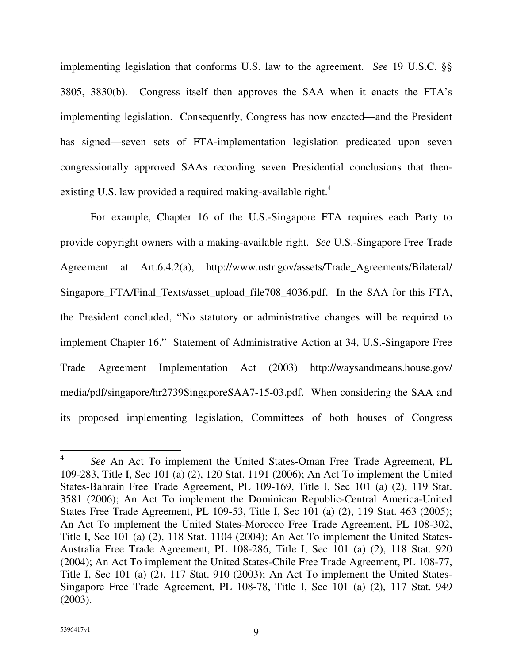implementing legislation that conforms U.S. law to the agreement. *See* 19 U.S.C. §§ 3805, 3830(b). Congress itself then approves the SAA when it enacts the FTA's implementing legislation. Consequently, Congress has now enacted—and the President has signed—seven sets of FTA-implementation legislation predicated upon seven congressionally approved SAAs recording seven Presidential conclusions that thenexisting U.S. law provided a required making-available right.<sup>4</sup>

For example, Chapter 16 of the U.S.-Singapore FTA requires each Party to provide copyright owners with a making-available right. *See* U.S.-Singapore Free Trade Agreement at Art.6.4.2(a), http://www.ustr.gov/assets/Trade\_Agreements/Bilateral/ Singapore\_FTA/Final\_Texts/asset\_upload\_file708\_4036.pdf. In the SAA for this FTA, the President concluded, "No statutory or administrative changes will be required to implement Chapter 16." Statement of Administrative Action at 34, U.S.-Singapore Free Trade Agreement Implementation Act (2003) http://waysandmeans.house.gov/ media/pdf/singapore/hr2739SingaporeSAA7-15-03.pdf. When considering the SAA and its proposed implementing legislation, Committees of both houses of Congress

<sup>4</sup> *See* An Act To implement the United States-Oman Free Trade Agreement, PL 109-283, Title I, Sec 101 (a) (2), 120 Stat. 1191 (2006); An Act To implement the United States-Bahrain Free Trade Agreement, PL 109-169, Title I, Sec 101 (a) (2), 119 Stat. 3581 (2006); An Act To implement the Dominican Republic-Central America-United States Free Trade Agreement, PL 109-53, Title I, Sec 101 (a) (2), 119 Stat. 463 (2005); An Act To implement the United States-Morocco Free Trade Agreement, PL 108-302, Title I, Sec 101 (a) (2), 118 Stat. 1104 (2004); An Act To implement the United States-Australia Free Trade Agreement, PL 108-286, Title I, Sec 101 (a) (2), 118 Stat. 920 (2004); An Act To implement the United States-Chile Free Trade Agreement, PL 108-77, Title I, Sec 101 (a) (2), 117 Stat. 910 (2003); An Act To implement the United States-Singapore Free Trade Agreement, PL 108-78, Title I, Sec 101 (a) (2), 117 Stat. 949 (2003).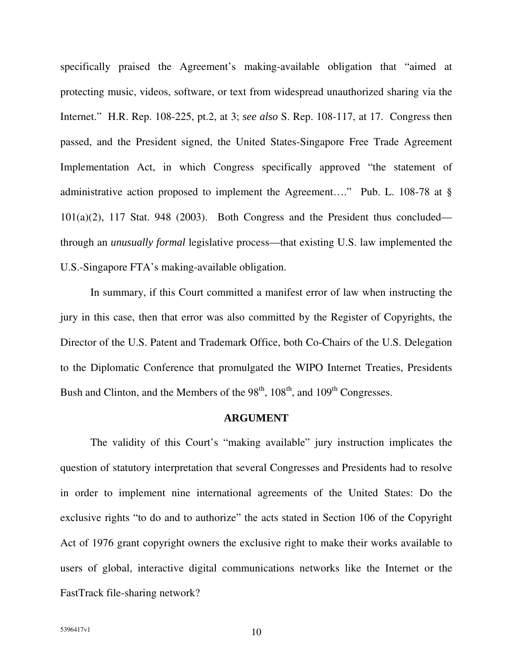specifically praised the Agreement's making-available obligation that "aimed at protecting music, videos, software, or text from widespread unauthorized sharing via the Internet." H.R. Rep. 108-225, pt.2, at 3; *see also* S. Rep. 108-117, at 17. Congress then passed, and the President signed, the United States-Singapore Free Trade Agreement Implementation Act, in which Congress specifically approved "the statement of administrative action proposed to implement the Agreement…." Pub. L. 108-78 at § 101(a)(2), 117 Stat. 948 (2003). Both Congress and the President thus concluded through an *unusually formal* legislative process—that existing U.S. law implemented the U.S.-Singapore FTA's making-available obligation.

In summary, if this Court committed a manifest error of law when instructing the jury in this case, then that error was also committed by the Register of Copyrights, the Director of the U.S. Patent and Trademark Office, both Co-Chairs of the U.S. Delegation to the Diplomatic Conference that promulgated the WIPO Internet Treaties, Presidents Bush and Clinton, and the Members of the  $98<sup>th</sup>$ ,  $108<sup>th</sup>$ , and  $109<sup>th</sup>$  Congresses.

#### **ARGUMENT**

The validity of this Court's "making available" jury instruction implicates the question of statutory interpretation that several Congresses and Presidents had to resolve in order to implement nine international agreements of the United States: Do the exclusive rights "to do and to authorize" the acts stated in Section 106 of the Copyright Act of 1976 grant copyright owners the exclusive right to make their works available to users of global, interactive digital communications networks like the Internet or the FastTrack file-sharing network?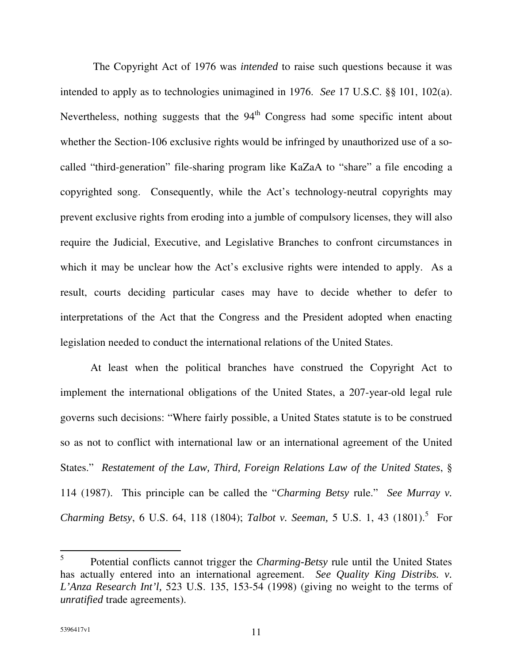The Copyright Act of 1976 was *intended* to raise such questions because it was intended to apply as to technologies unimagined in 1976. *See* 17 U.S.C. §§ 101, 102(a). Nevertheless, nothing suggests that the 94<sup>th</sup> Congress had some specific intent about whether the Section-106 exclusive rights would be infringed by unauthorized use of a socalled "third-generation" file-sharing program like KaZaA to "share" a file encoding a copyrighted song. Consequently, while the Act's technology-neutral copyrights may prevent exclusive rights from eroding into a jumble of compulsory licenses, they will also require the Judicial, Executive, and Legislative Branches to confront circumstances in which it may be unclear how the Act's exclusive rights were intended to apply. As a result, courts deciding particular cases may have to decide whether to defer to interpretations of the Act that the Congress and the President adopted when enacting legislation needed to conduct the international relations of the United States.

At least when the political branches have construed the Copyright Act to implement the international obligations of the United States, a 207-year-old legal rule governs such decisions: "Where fairly possible, a United States statute is to be construed so as not to conflict with international law or an international agreement of the United States." *Restatement of the Law, Third, Foreign Relations Law of the United States*, § 114 (1987). This principle can be called the "*Charming Betsy* rule." *See Murray v. Charming Betsy*, 6 U.S. 64, 118 (1804); *Talbot v. Seeman,* 5 U.S. 1, 43 (1801). 5 For

<sup>5</sup> Potential conflicts cannot trigger the *Charming-Betsy* rule until the United States has actually entered into an international agreement. *See Quality King Distribs. v. L'Anza Research Int'l,* 523 U.S. 135, 153-54 (1998) (giving no weight to the terms of *unratified* trade agreements).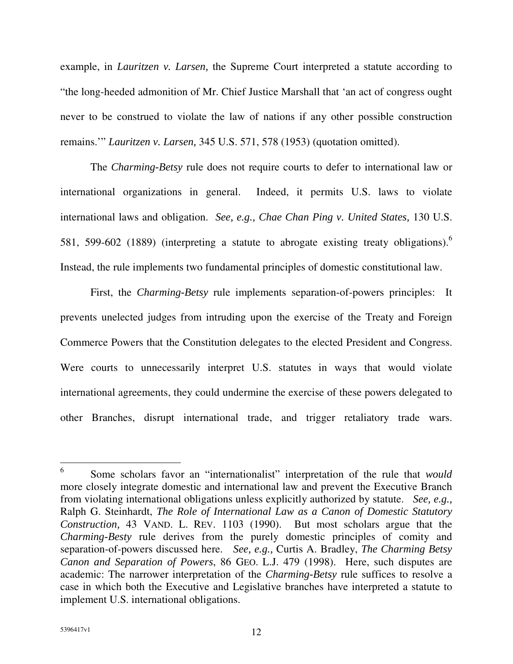example, in *Lauritzen v. Larsen,* the Supreme Court interpreted a statute according to "the long-heeded admonition of Mr. Chief Justice Marshall that 'an act of congress ought never to be construed to violate the law of nations if any other possible construction remains.'" *Lauritzen v. Larsen,* 345 U.S. 571, 578 (1953) (quotation omitted).

The *Charming-Betsy* rule does not require courts to defer to international law or international organizations in general. Indeed, it permits U.S. laws to violate international laws and obligation. *See, e.g., Chae Chan Ping v. United States,* 130 U.S. 581, 599-602 (1889) (interpreting a statute to abrogate existing treaty obligations). Instead, the rule implements two fundamental principles of domestic constitutional law.

First, the *Charming-Betsy* rule implements separation-of-powers principles: It prevents unelected judges from intruding upon the exercise of the Treaty and Foreign Commerce Powers that the Constitution delegates to the elected President and Congress. Were courts to unnecessarily interpret U.S. statutes in ways that would violate international agreements, they could undermine the exercise of these powers delegated to other Branches, disrupt international trade, and trigger retaliatory trade wars.

<sup>6</sup> Some scholars favor an "internationalist" interpretation of the rule that *would* more closely integrate domestic and international law and prevent the Executive Branch from violating international obligations unless explicitly authorized by statute. *See, e.g.,* Ralph G. Steinhardt, *The Role of International Law as a Canon of Domestic Statutory Construction,* 43 VAND. L. REV. 1103 (1990). But most scholars argue that the *Charming-Besty* rule derives from the purely domestic principles of comity and separation-of-powers discussed here. *See, e.g.,* Curtis A. Bradley, *The Charming Betsy Canon and Separation of Powers*, 86 GEO. L.J. 479 (1998). Here, such disputes are academic: The narrower interpretation of the *Charming-Betsy* rule suffices to resolve a case in which both the Executive and Legislative branches have interpreted a statute to implement U.S. international obligations.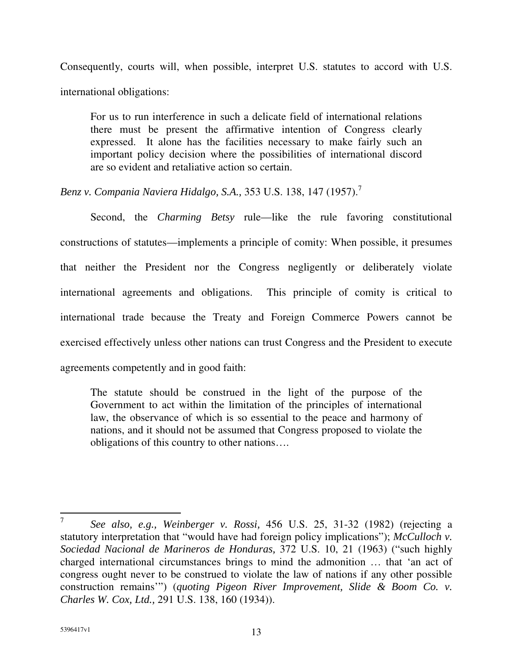Consequently, courts will, when possible, interpret U.S. statutes to accord with U.S. international obligations:

For us to run interference in such a delicate field of international relations there must be present the affirmative intention of Congress clearly expressed. It alone has the facilities necessary to make fairly such an important policy decision where the possibilities of international discord are so evident and retaliative action so certain.

*Benz v. Compania Naviera Hidalgo, S.A.,* 353 U.S. 138, 147 (1957). 7

Second, the *Charming Betsy* rule—like the rule favoring constitutional constructions of statutes—implements a principle of comity: When possible, it presumes that neither the President nor the Congress negligently or deliberately violate international agreements and obligations. This principle of comity is critical to international trade because the Treaty and Foreign Commerce Powers cannot be exercised effectively unless other nations can trust Congress and the President to execute agreements competently and in good faith:

The statute should be construed in the light of the purpose of the Government to act within the limitation of the principles of international law, the observance of which is so essential to the peace and harmony of nations, and it should not be assumed that Congress proposed to violate the obligations of this country to other nations….

<sup>7</sup> *See also, e.g., Weinberger v. Rossi,* 456 U.S. 25, 31-32 (1982) (rejecting a statutory interpretation that "would have had foreign policy implications"); *McCulloch v. Sociedad Nacional de Marineros de Honduras,* 372 U.S. 10, 21 (1963) ("such highly charged international circumstances brings to mind the admonition … that 'an act of congress ought never to be construed to violate the law of nations if any other possible construction remains'") (*quoting Pigeon River Improvement, Slide & Boom Co. v. Charles W. Cox, Ltd.,* 291 U.S. 138, 160 (1934)).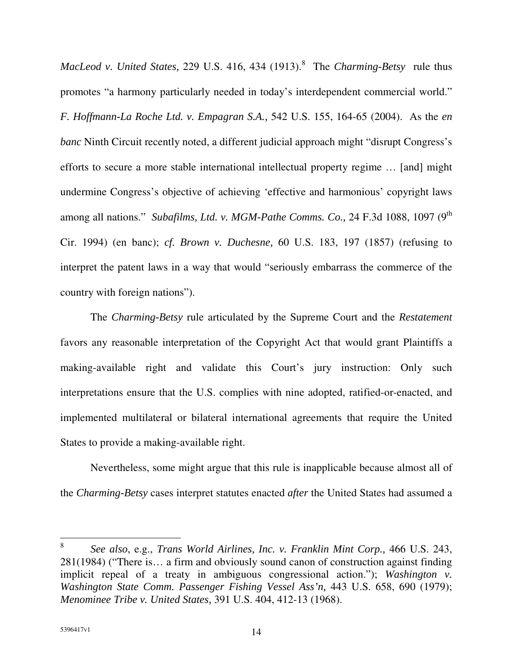*MacLeod v. United States,* 229 U.S. 416, 434 (1913). 8 The *Charming-Betsy* rule thus promotes "a harmony particularly needed in today's interdependent commercial world." *F. Hoffmann-La Roche Ltd. v. Empagran S.A.,* 542 U.S. 155, 164-65 (2004). As the *en banc* Ninth Circuit recently noted, a different judicial approach might "disrupt Congress's efforts to secure a more stable international intellectual property regime … [and] might undermine Congress's objective of achieving 'effective and harmonious' copyright laws among all nations." *Subafilms, Ltd. v. MGM-Pathe Comms. Co.,* 24 F.3d 1088, 1097 (9 th Cir. 1994) (en banc); *cf. Brown v. Duchesne,* 60 U.S. 183, 197 (1857) (refusing to interpret the patent laws in a way that would "seriously embarrass the commerce of the country with foreign nations").

The *Charming-Betsy* rule articulated by the Supreme Court and the *Restatement* favors any reasonable interpretation of the Copyright Act that would grant Plaintiffs a making-available right and validate this Court's jury instruction: Only such interpretations ensure that the U.S. complies with nine adopted, ratified-or-enacted, and implemented multilateral or bilateral international agreements that require the United States to provide a making-available right.

Nevertheless, some might argue that this rule is inapplicable because almost all of the *Charming-Betsy* cases interpret statutes enacted *after* the United States had assumed a

<sup>8</sup> *See also*, e.g., *Trans World Airlines, Inc. v. Franklin Mint Corp.,* 466 U.S. 243, 281(1984) ("There is… a firm and obviously sound canon of construction against finding implicit repeal of a treaty in ambiguous congressional action."); *Washington v. Washington State Comm. Passenger Fishing Vessel Ass'n,* 443 U.S. 658, 690 (1979); *Menominee Tribe v. United States,* 391 U.S. 404, 412-13 (1968).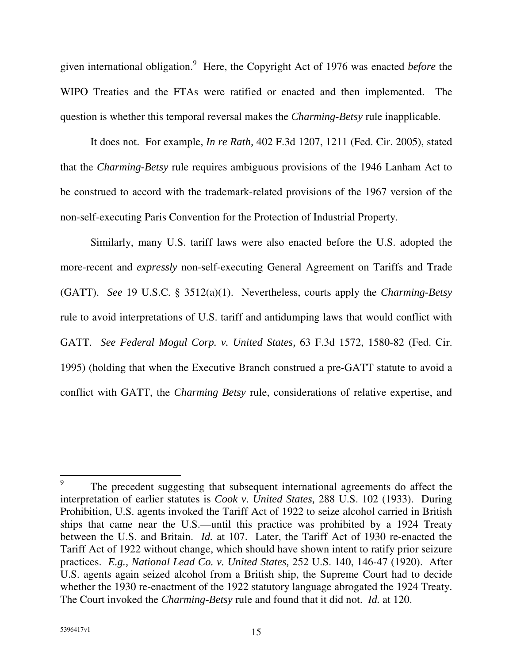given international obligation. <sup>9</sup> Here, the Copyright Act of 1976 was enacted *before* the WIPO Treaties and the FTAs were ratified or enacted and then implemented. The question is whether this temporal reversal makes the *Charming-Betsy* rule inapplicable.

It does not. For example, *In re Rath,* 402 F.3d 1207, 1211 (Fed. Cir. 2005), stated that the *Charming-Betsy* rule requires ambiguous provisions of the 1946 Lanham Act to be construed to accord with the trademark-related provisions of the 1967 version of the non-self-executing Paris Convention for the Protection of Industrial Property.

Similarly, many U.S. tariff laws were also enacted before the U.S. adopted the more-recent and *expressly* non-self-executing General Agreement on Tariffs and Trade (GATT). *See* 19 U.S.C. § 3512(a)(1). Nevertheless, courts apply the *Charming-Betsy* rule to avoid interpretations of U.S. tariff and antidumping laws that would conflict with GATT. *See Federal Mogul Corp. v. United States,* 63 F.3d 1572, 1580-82 (Fed. Cir. 1995) (holding that when the Executive Branch construed a pre-GATT statute to avoid a conflict with GATT, the *Charming Betsy* rule, considerations of relative expertise, and

<sup>9</sup> The precedent suggesting that subsequent international agreements do affect the interpretation of earlier statutes is *Cook v. United States,* 288 U.S. 102 (1933). During Prohibition, U.S. agents invoked the Tariff Act of 1922 to seize alcohol carried in British ships that came near the U.S.—until this practice was prohibited by a 1924 Treaty between the U.S. and Britain. *Id.* at 107. Later, the Tariff Act of 1930 re-enacted the Tariff Act of 1922 without change, which should have shown intent to ratify prior seizure practices. *E.g., National Lead Co. v. United States,* 252 U.S. 140, 146-47 (1920). After U.S. agents again seized alcohol from a British ship, the Supreme Court had to decide whether the 1930 re-enactment of the 1922 statutory language abrogated the 1924 Treaty. The Court invoked the *Charming-Betsy* rule and found that it did not. *Id.* at 120.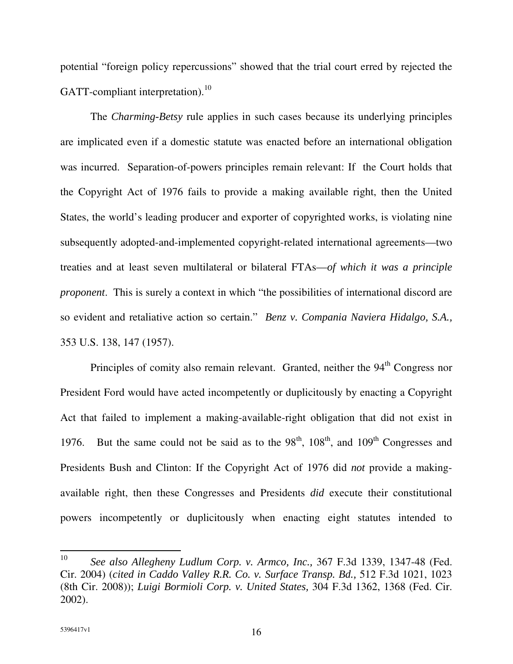potential "foreign policy repercussions" showed that the trial court erred by rejected the GATT-compliant interpretation).<sup>10</sup>

The *Charming-Betsy* rule applies in such cases because its underlying principles are implicated even if a domestic statute was enacted before an international obligation was incurred. Separation-of-powers principles remain relevant: If the Court holds that the Copyright Act of 1976 fails to provide a making available right, then the United States, the world's leading producer and exporter of copyrighted works, is violating nine subsequently adopted-and-implemented copyright-related international agreements—two treaties and at least seven multilateral or bilateral FTAs—*of which it was a principle proponent*. This is surely a context in which "the possibilities of international discord are so evident and retaliative action so certain." *Benz v. Compania Naviera Hidalgo, S.A.,* 353 U.S. 138, 147 (1957).

Principles of comity also remain relevant. Granted, neither the 94<sup>th</sup> Congress nor President Ford would have acted incompetently or duplicitously by enacting a Copyright Act that failed to implement a making-available-right obligation that did not exist in 1976. But the same could not be said as to the  $98<sup>th</sup>$ ,  $108<sup>th</sup>$ , and  $109<sup>th</sup>$  Congresses and Presidents Bush and Clinton: If the Copyright Act of 1976 did *not* provide a makingavailable right, then these Congresses and Presidents *did* execute their constitutional powers incompetently or duplicitously when enacting eight statutes intended to

<sup>10</sup> *See also Allegheny Ludlum Corp. v. Armco, Inc.,* 367 F.3d 1339, 1347-48 (Fed. Cir. 2004) (*cited in Caddo Valley R.R. Co. v. Surface Transp. Bd.,* 512 F.3d 1021, 1023 (8th Cir. 2008)); *Luigi Bormioli Corp. v. United States,* 304 F.3d 1362, 1368 (Fed. Cir. 2002).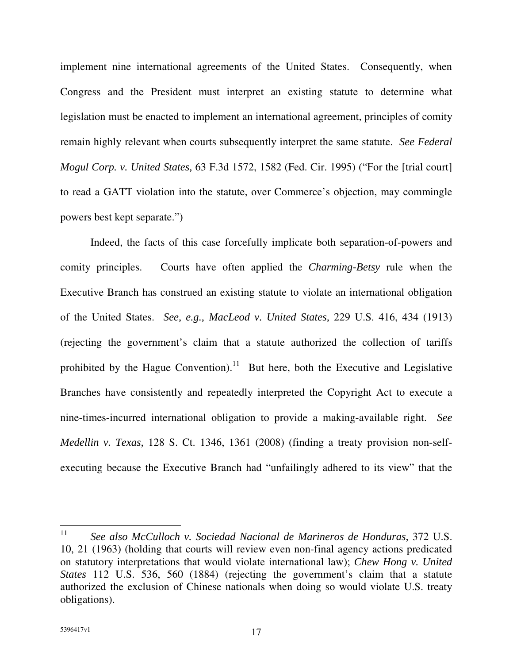implement nine international agreements of the United States. Consequently, when Congress and the President must interpret an existing statute to determine what legislation must be enacted to implement an international agreement, principles of comity remain highly relevant when courts subsequently interpret the same statute. *See Federal Mogul Corp. v. United States,* 63 F.3d 1572, 1582 (Fed. Cir. 1995) ("For the [trial court] to read a GATT violation into the statute, over Commerce's objection, may commingle powers best kept separate.")

Indeed, the facts of this case forcefully implicate both separation-of-powers and comity principles. Courts have often applied the *Charming-Betsy* rule when the Executive Branch has construed an existing statute to violate an international obligation of the United States. *See, e.g., MacLeod v. United States,* 229 U.S. 416, 434 (1913) (rejecting the government's claim that a statute authorized the collection of tariffs prohibited by the Hague Convention).<sup>11</sup> But here, both the Executive and Legislative Branches have consistently and repeatedly interpreted the Copyright Act to execute a nine-times-incurred international obligation to provide a making-available right. *See Medellin v. Texas,* 128 S. Ct. 1346, 1361 (2008) (finding a treaty provision non-selfexecuting because the Executive Branch had "unfailingly adhered to its view" that the

<sup>11</sup> *See also McCulloch v. Sociedad Nacional de Marineros de Honduras,* 372 U.S. 10, 21 (1963) (holding that courts will review even non-final agency actions predicated on statutory interpretations that would violate international law); *Chew Hong v. United States* 112 U.S. 536, 560 (1884) (rejecting the government's claim that a statute authorized the exclusion of Chinese nationals when doing so would violate U.S. treaty obligations).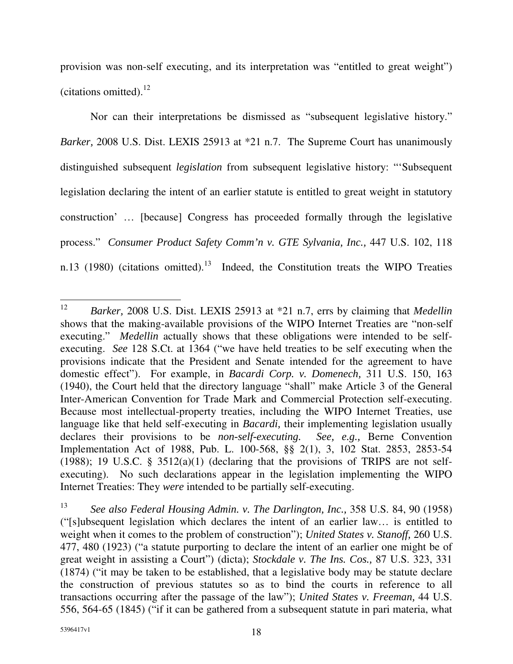provision was non-self executing, and its interpretation was "entitled to great weight") (citations omitted). 12

Nor can their interpretations be dismissed as "subsequent legislative history." *Barker,* 2008 U.S. Dist. LEXIS 25913 at \*21 n.7. The Supreme Court has unanimously distinguished subsequent *legislation* from subsequent legislative history: "'Subsequent legislation declaring the intent of an earlier statute is entitled to great weight in statutory construction' … [because] Congress has proceeded formally through the legislative process." *Consumer Product Safety Comm'n v. GTE Sylvania, Inc.,* 447 U.S. 102, 118 n.13 (1980) (citations omitted).<sup>13</sup> Indeed, the Constitution treats the WIPO Treaties

<sup>12</sup> *Barker,* 2008 U.S. Dist. LEXIS 25913 at \*21 n.7, errs by claiming that *Medellin* shows that the making-available provisions of the WIPO Internet Treaties are "non-self executing." *Medellin* actually shows that these obligations were intended to be selfexecuting. *See* 128 S.Ct. at 1364 ("we have held treaties to be self executing when the provisions indicate that the President and Senate intended for the agreement to have domestic effect"). For example, in *Bacardi Corp. v. Domenech,* 311 U.S. 150, 163 (1940), the Court held that the directory language "shall" make Article 3 of the General Inter-American Convention for Trade Mark and Commercial Protection self-executing. Because most intellectual-property treaties, including the WIPO Internet Treaties, use language like that held self-executing in *Bacardi,* their implementing legislation usually declares their provisions to be *non-self-executing. See, e.g.,* Berne Convention Implementation Act of 1988, Pub. L. 100-568, §§ 2(1), 3, 102 Stat. 2853, 2853-54 (1988); 19 U.S.C. §  $3512(a)(1)$  (declaring that the provisions of TRIPS are not selfexecuting). No such declarations appear in the legislation implementing the WIPO Internet Treaties: They *were* intended to be partially self-executing.

<sup>13</sup> *See also Federal Housing Admin. v. The Darlington, Inc.,* 358 U.S. 84, 90 (1958) ("[s]ubsequent legislation which declares the intent of an earlier law… is entitled to weight when it comes to the problem of construction"); *United States v. Stanoff,* 260 U.S. 477, 480 (1923) ("a statute purporting to declare the intent of an earlier one might be of great weight in assisting a Court") (dicta); *Stockdale v. The Ins. Cos.,* 87 U.S. 323, 331 (1874) ("it may be taken to be established, that a legislative body may be statute declare the construction of previous statutes so as to bind the courts in reference to all transactions occurring after the passage of the law"); *United States v. Freeman,* 44 U.S. 556, 564-65 (1845) ("if it can be gathered from a subsequent statute in pari materia, what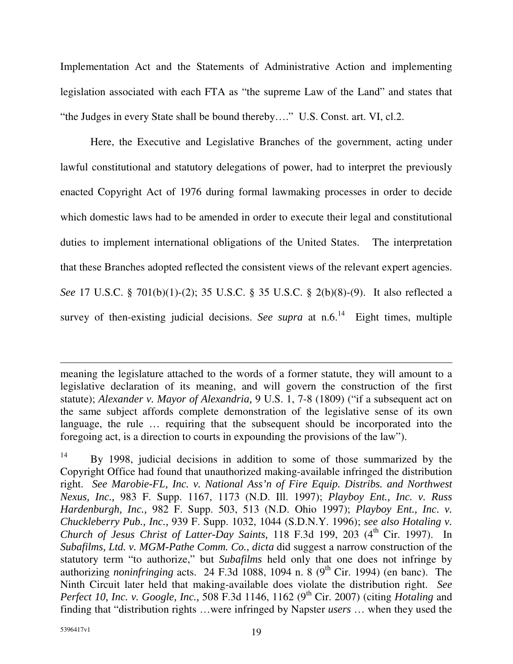Implementation Act and the Statements of Administrative Action and implementing legislation associated with each FTA as "the supreme Law of the Land" and states that "the Judges in every State shall be bound thereby…." U.S. Const. art. VI, cl.2.

Here, the Executive and Legislative Branches of the government, acting under lawful constitutional and statutory delegations of power, had to interpret the previously enacted Copyright Act of 1976 during formal lawmaking processes in order to decide which domestic laws had to be amended in order to execute their legal and constitutional duties to implement international obligations of the United States. The interpretation that these Branches adopted reflected the consistent views of the relevant expert agencies. *See* 17 U.S.C. § 701(b)(1)-(2); 35 U.S.C. § 35 U.S.C. § 2(b)(8)-(9). It also reflected a survey of then-existing judicial decisions. See supra at n.6.<sup>14</sup> Eight times, multiple

meaning the legislature attached to the words of a former statute, they will amount to a legislative declaration of its meaning, and will govern the construction of the first statute); *Alexander v. Mayor of Alexandria,* 9 U.S. 1, 7-8 (1809) ("if a subsequent act on the same subject affords complete demonstration of the legislative sense of its own language, the rule … requiring that the subsequent should be incorporated into the foregoing act, is a direction to courts in expounding the provisions of the law").

<sup>14</sup> By 1998, judicial decisions in addition to some of those summarized by the Copyright Office had found that unauthorized making-available infringed the distribution right. *See Marobie-FL, Inc. v. National Ass'n of Fire Equip. Distribs. and Northwest Nexus, Inc.,* 983 F. Supp. 1167, 1173 (N.D. Ill. 1997); *Playboy Ent., Inc. v. Russ Hardenburgh, Inc.,* 982 F. Supp. 503, 513 (N.D. Ohio 1997); *Playboy Ent., Inc. v. Chuckleberry Pub., Inc.,* 939 F. Supp. 1032, 1044 (S.D.N.Y. 1996); *see also Hotaling v. Church of Jesus Christ of Latter-Day Saints,* 118 F.3d 199, 203 (4 th Cir. 1997). In *Subafilms, Ltd. v. MGM-Pathe Comm. Co.*, *dicta* did suggest a narrow construction of the statutory term "to authorize," but *Subafilms* held only that one does not infringe by authorizing *noninfringing* acts. 24 F.3d 1088, 1094 n. 8 (9<sup>th</sup> Cir. 1994) (en banc). The Ninth Circuit later held that making-available does violate the distribution right. *See Perfect 10, Inc. v. Google, Inc.,* 508 F.3d 1146, 1162 (9 th Cir. 2007) (citing *Hotaling* and finding that "distribution rights …were infringed by Napster *users* … when they used the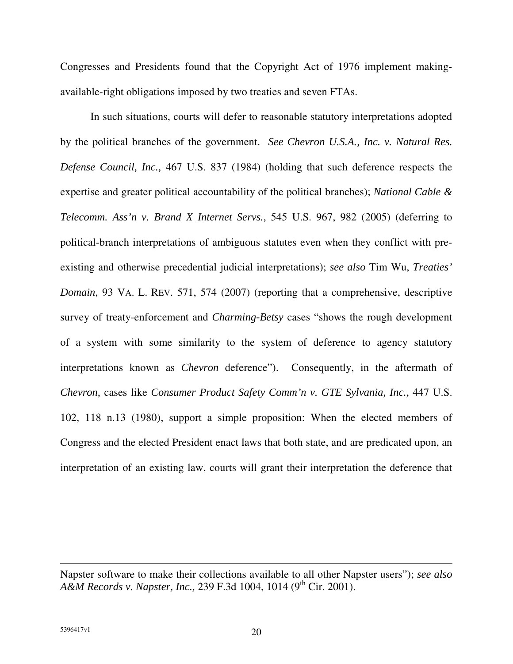Congresses and Presidents found that the Copyright Act of 1976 implement makingavailable-right obligations imposed by two treaties and seven FTAs.

In such situations, courts will defer to reasonable statutory interpretations adopted by the political branches of the government. *See Chevron U.S.A., Inc. v. Natural Res. Defense Council, Inc.,* 467 U.S. 837 (1984) (holding that such deference respects the expertise and greater political accountability of the political branches); *National Cable & Telecomm. Ass'n v. Brand X Internet Servs.*, 545 U.S. 967, 982 (2005) (deferring to political-branch interpretations of ambiguous statutes even when they conflict with preexisting and otherwise precedential judicial interpretations); *see also* Tim Wu, *Treaties' Domain*, 93 VA. L. REV. 571, 574 (2007) (reporting that a comprehensive, descriptive survey of treaty-enforcement and *Charming-Betsy* cases "shows the rough development of a system with some similarity to the system of deference to agency statutory interpretations known as *Chevron* deference"). Consequently, in the aftermath of *Chevron,* cases like *Consumer Product Safety Comm'n v. GTE Sylvania, Inc.,* 447 U.S. 102, 118 n.13 (1980), support a simple proposition: When the elected members of Congress and the elected President enact laws that both state, and are predicated upon, an interpretation of an existing law, courts will grant their interpretation the deference that

Napster software to make their collections available to all other Napster users"); *see also A&M Records v. Napster, Inc.,* 239 F.3d 1004, 1014 (9 th Cir. 2001).